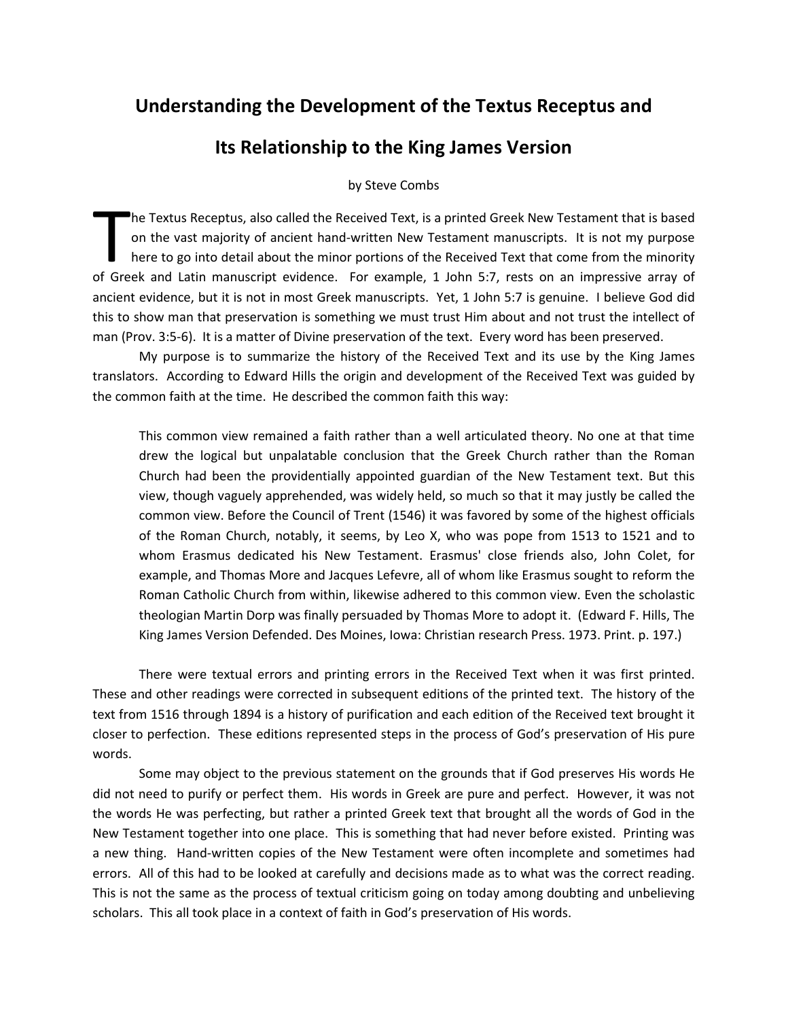# **Understanding the Development of the Textus Receptus and**

## **Its Relationship to the King James Version**

by Steve Combs

he Textus Receptus, also called the Received Text, is a printed Greek New Testament that is based on the vast majority of ancient hand-written New Testament manuscripts. It is not my purpose here to go into detail about the minor portions of the Received Text that come from the minority The Textus Receptus, also called the Received Text, is a printed Greek New Testament that is based<br>on the vast majority of ancient hand-written New Testament manuscripts. It is not my purpose<br>here to go into detail about t ancient evidence, but it is not in most Greek manuscripts. Yet, 1 John 5:7 is genuine. I believe God did this to show man that preservation is something we must trust Him about and not trust the intellect of man (Prov. 3:5-6). It is a matter of Divine preservation of the text. Every word has been preserved.

My purpose is to summarize the history of the Received Text and its use by the King James translators. According to Edward Hills the origin and development of the Received Text was guided by the common faith at the time. He described the common faith this way:

This common view remained a faith rather than a well articulated theory. No one at that time drew the logical but unpalatable conclusion that the Greek Church rather than the Roman Church had been the providentially appointed guardian of the New Testament text. But this view, though vaguely apprehended, was widely held, so much so that it may justly be called the common view. Before the Council of Trent (1546) it was favored by some of the highest officials of the Roman Church, notably, it seems, by Leo X, who was pope from 1513 to 1521 and to whom Erasmus dedicated his New Testament. Erasmus' close friends also, John Colet, for example, and Thomas More and Jacques Lefevre, all of whom like Erasmus sought to reform the Roman Catholic Church from within, likewise adhered to this common view. Even the scholastic theologian Martin Dorp was finally persuaded by Thomas More to adopt it. (Edward F. Hills, The King James Version Defended. Des Moines, Iowa: Christian research Press. 1973. Print. p. 197.)

There were textual errors and printing errors in the Received Text when it was first printed. These and other readings were corrected in subsequent editions of the printed text. The history of the text from 1516 through 1894 is a history of purification and each edition of the Received text brought it closer to perfection. These editions represented steps in the process of God's preservation of His pure words.

Some may object to the previous statement on the grounds that if God preserves His words He did not need to purify or perfect them. His words in Greek are pure and perfect. However, it was not the words He was perfecting, but rather a printed Greek text that brought all the words of God in the New Testament together into one place. This is something that had never before existed. Printing was a new thing. Hand-written copies of the New Testament were often incomplete and sometimes had errors. All of this had to be looked at carefully and decisions made as to what was the correct reading. This is not the same as the process of textual criticism going on today among doubting and unbelieving scholars. This all took place in a context of faith in God's preservation of His words.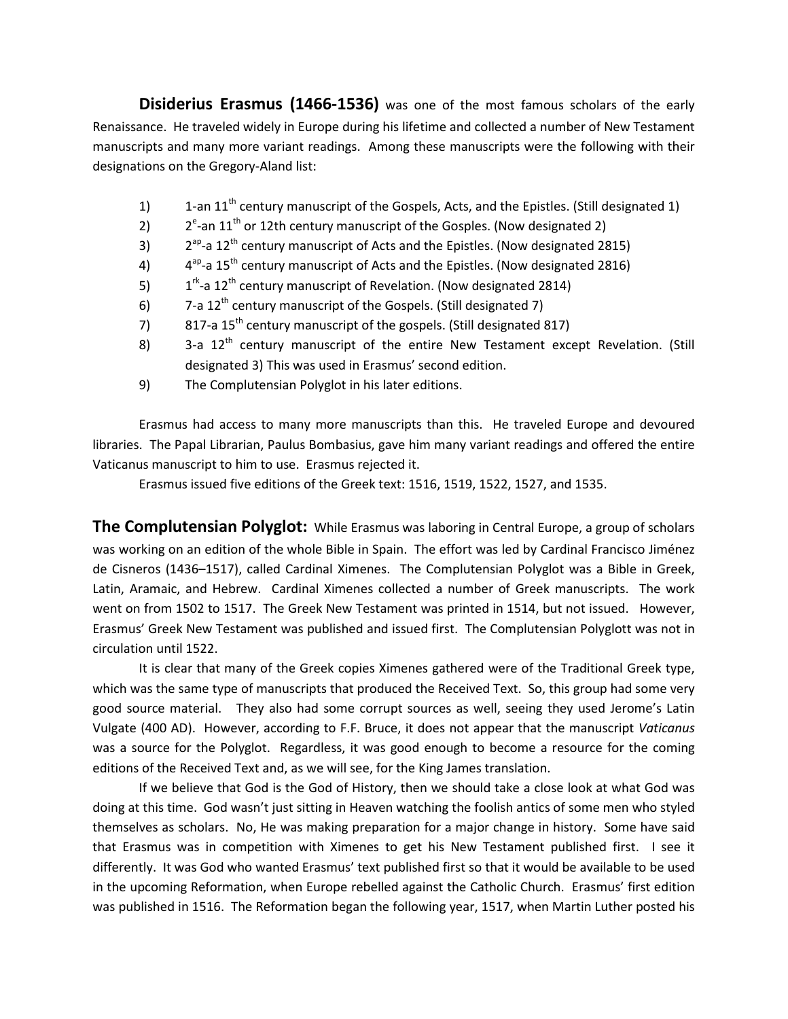**Disiderius Erasmus (1466-1536)** was one of the most famous scholars of the early Renaissance. He traveled widely in Europe during his lifetime and collected a number of New Testament manuscripts and many more variant readings. Among these manuscripts were the following with their designations on the Gregory-Aland list:

- 1) 1-an  $11^{th}$  century manuscript of the Gospels, Acts, and the Epistles. (Still designated 1)
- 2)  $2^{e}$ -an 11<sup>th</sup> or 12th century manuscript of the Gosples. (Now designated 2)
- 3)  $2^{ap}$ -a  $12^{th}$  century manuscript of Acts and the Epistles. (Now designated 2815)
- 4)  $4^{ap}$ -a 15<sup>th</sup> century manuscript of Acts and the Epistles. (Now designated 2816)
- 5)  $1^{rk}$ -a 12<sup>th</sup> century manuscript of Revelation. (Now designated 2814)
- 6)  $7$ -a  $12<sup>th</sup>$  century manuscript of the Gospels. (Still designated 7)
- 7) 817-a  $15^{th}$  century manuscript of the gospels. (Still designated 817)
- 8)  $3$ -a  $12<sup>th</sup>$  century manuscript of the entire New Testament except Revelation. (Still designated 3) This was used in Erasmus' second edition.
- 9) The Complutensian Polyglot in his later editions.

Erasmus had access to many more manuscripts than this. He traveled Europe and devoured libraries. The Papal Librarian, Paulus Bombasius, gave him many variant readings and offered the entire Vaticanus manuscript to him to use. Erasmus rejected it.

Erasmus issued five editions of the Greek text: 1516, 1519, 1522, 1527, and 1535.

**The Complutensian Polyglot:** While Erasmus was laboring in Central Europe, a group of scholars was working on an edition of the whole Bible in Spain. The effort was led by Cardinal Francisco Jiménez de Cisneros (1436–1517), called Cardinal Ximenes. The Complutensian Polyglot was a Bible in Greek, Latin, Aramaic, and Hebrew. Cardinal Ximenes collected a number of Greek manuscripts. The work went on from 1502 to 1517. The Greek New Testament was printed in 1514, but not issued. However, Erasmus' Greek New Testament was published and issued first. The Complutensian Polyglott was not in circulation until 1522.

It is clear that many of the Greek copies Ximenes gathered were of the Traditional Greek type, which was the same type of manuscripts that produced the Received Text. So, this group had some very good source material. They also had some corrupt sources as well, seeing they used Jerome's Latin Vulgate (400 AD). However, according to F.F. Bruce, it does not appear that the manuscript *Vaticanus* was a source for the Polyglot. Regardless, it was good enough to become a resource for the coming editions of the Received Text and, as we will see, for the King James translation.

If we believe that God is the God of History, then we should take a close look at what God was doing at this time. God wasn't just sitting in Heaven watching the foolish antics of some men who styled themselves as scholars. No, He was making preparation for a major change in history. Some have said that Erasmus was in competition with Ximenes to get his New Testament published first. I see it differently. It was God who wanted Erasmus' text published first so that it would be available to be used in the upcoming Reformation, when Europe rebelled against the Catholic Church. Erasmus' first edition was published in 1516. The Reformation began the following year, 1517, when Martin Luther posted his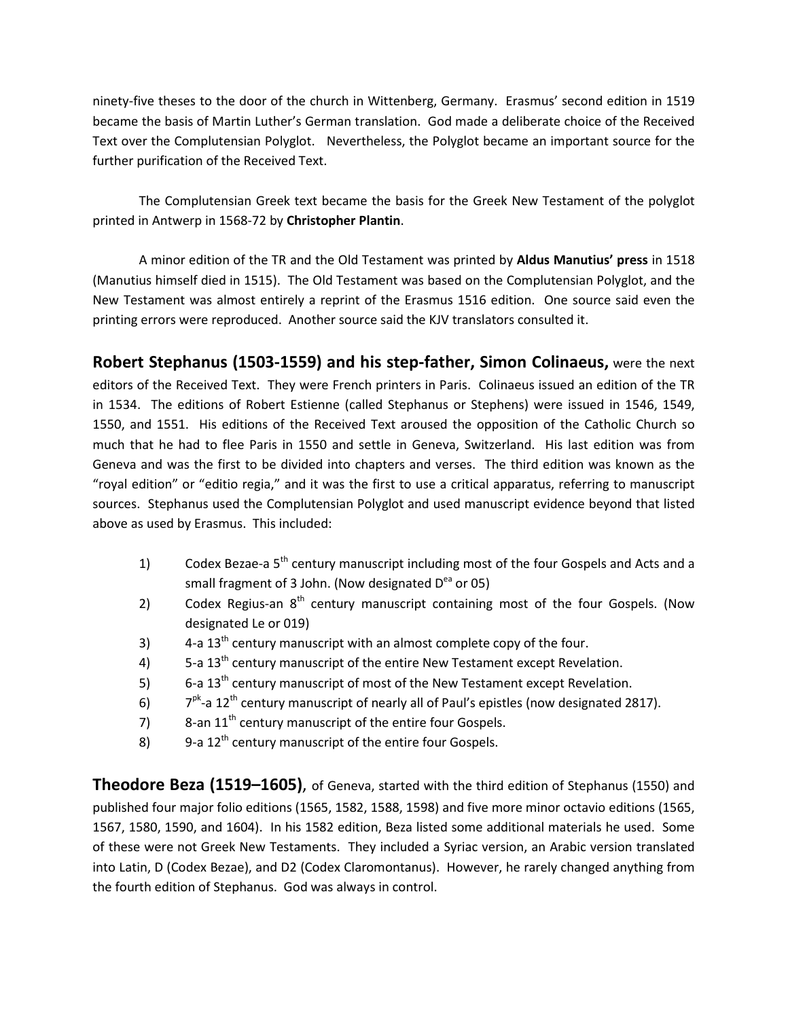ninety-five theses to the door of the church in Wittenberg, Germany. Erasmus' second edition in 1519 became the basis of Martin Luther's German translation. God made a deliberate choice of the Received Text over the Complutensian Polyglot. Nevertheless, the Polyglot became an important source for the further purification of the Received Text.

The Complutensian Greek text became the basis for the Greek New Testament of the polyglot printed in Antwerp in 1568-72 by **Christopher Plantin**.

A minor edition of the TR and the Old Testament was printed by **Aldus Manutius' press** in 1518 (Manutius himself died in 1515). The Old Testament was based on the Complutensian Polyglot, and the New Testament was almost entirely a reprint of the Erasmus 1516 edition. One source said even the printing errors were reproduced. Another source said the KJV translators consulted it.

**Robert Stephanus (1503-1559) and his step-father, Simon Colinaeus,** were the next editors of the Received Text. They were French printers in Paris. Colinaeus issued an edition of the TR in 1534. The editions of Robert Estienne (called Stephanus or Stephens) were issued in 1546, 1549, 1550, and 1551. His editions of the Received Text aroused the opposition of the Catholic Church so much that he had to flee Paris in 1550 and settle in Geneva, Switzerland. His last edition was from Geneva and was the first to be divided into chapters and verses. The third edition was known as the "royal edition" or "editio regia," and it was the first to use a critical apparatus, referring to manuscript sources. Stephanus used the Complutensian Polyglot and used manuscript evidence beyond that listed above as used by Erasmus. This included:

- 1) Codex Bezae-a  $5<sup>th</sup>$  century manuscript including most of the four Gospels and Acts and a small fragment of 3 John. (Now designated  $D^{eq}$  or 05)
- 2) Codex Regius-an 8<sup>th</sup> century manuscript containing most of the four Gospels. (Now designated Le or 019)
- 3)  $4$ -a  $13<sup>th</sup>$  century manuscript with an almost complete copy of the four.
- 4)  $5$ -a  $13<sup>th</sup>$  century manuscript of the entire New Testament except Revelation.
- 5)  $6$ -a  $13<sup>th</sup>$  century manuscript of most of the New Testament except Revelation.
- 6)  $7^{pk}$ -a  $12^{th}$  century manuscript of nearly all of Paul's epistles (now designated 2817).
- 7) 8-an  $11<sup>th</sup>$  century manuscript of the entire four Gospels.
- 8) 9-a  $12^{th}$  century manuscript of the entire four Gospels.

**Theodore Beza (1519–1605)**, of Geneva, started with the third edition of Stephanus (1550) and published four major folio editions (1565, 1582, 1588, 1598) and five more minor octavio editions (1565, 1567, 1580, 1590, and 1604). In his 1582 edition, Beza listed some additional materials he used. Some of these were not Greek New Testaments. They included a Syriac version, an Arabic version translated into Latin, D (Codex Bezae), and D2 (Codex Claromontanus). However, he rarely changed anything from the fourth edition of Stephanus. God was always in control.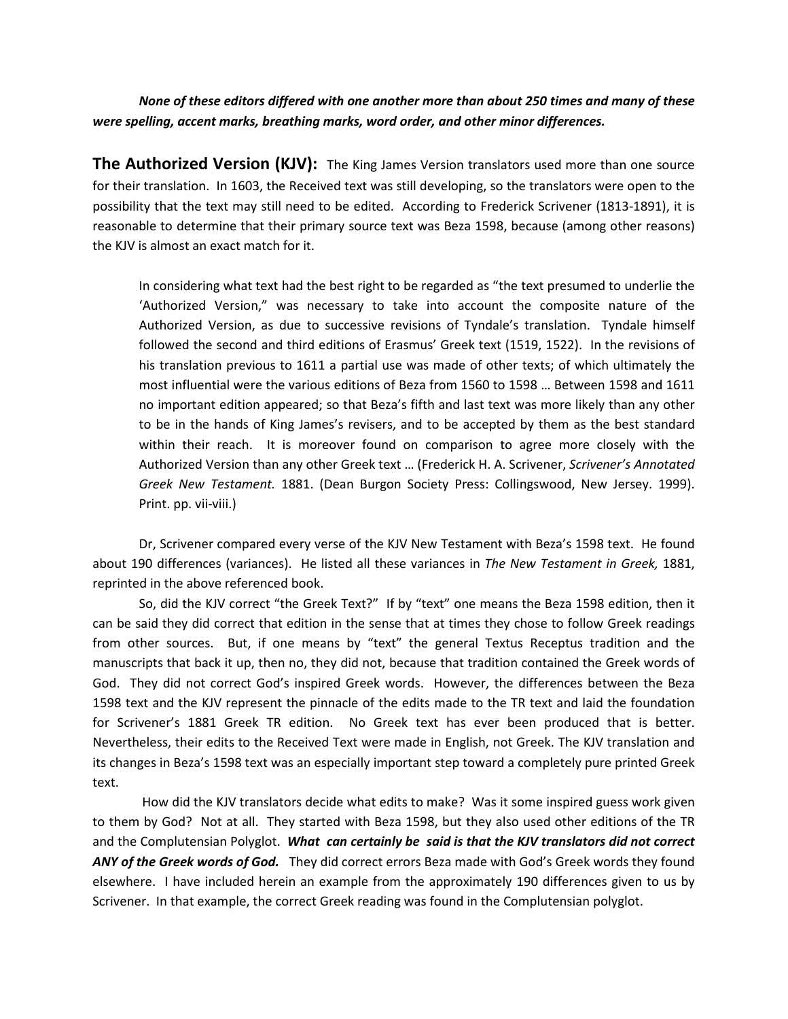*None of these editors differed with one another more than about 250 times and many of these were spelling, accent marks, breathing marks, word order, and other minor differences.*

**The Authorized Version (KJV):** The King James Version translators used more than one source for their translation. In 1603, the Received text was still developing, so the translators were open to the possibility that the text may still need to be edited. According to Frederick Scrivener (1813-1891), it is reasonable to determine that their primary source text was Beza 1598, because (among other reasons) the KJV is almost an exact match for it.

In considering what text had the best right to be regarded as "the text presumed to underlie the 'Authorized Version," was necessary to take into account the composite nature of the Authorized Version, as due to successive revisions of Tyndale's translation. Tyndale himself followed the second and third editions of Erasmus' Greek text (1519, 1522). In the revisions of his translation previous to 1611 a partial use was made of other texts; of which ultimately the most influential were the various editions of Beza from 1560 to 1598 … Between 1598 and 1611 no important edition appeared; so that Beza's fifth and last text was more likely than any other to be in the hands of King James's revisers, and to be accepted by them as the best standard within their reach. It is moreover found on comparison to agree more closely with the Authorized Version than any other Greek text … (Frederick H. A. Scrivener, *Scrivener's Annotated Greek New Testament.* 1881. (Dean Burgon Society Press: Collingswood, New Jersey. 1999). Print. pp. vii-viii.)

Dr, Scrivener compared every verse of the KJV New Testament with Beza's 1598 text. He found about 190 differences (variances). He listed all these variances in *The New Testament in Greek,* 1881, reprinted in the above referenced book.

So, did the KJV correct "the Greek Text?" If by "text" one means the Beza 1598 edition, then it can be said they did correct that edition in the sense that at times they chose to follow Greek readings from other sources. But, if one means by "text" the general Textus Receptus tradition and the manuscripts that back it up, then no, they did not, because that tradition contained the Greek words of God. They did not correct God's inspired Greek words. However, the differences between the Beza 1598 text and the KJV represent the pinnacle of the edits made to the TR text and laid the foundation for Scrivener's 1881 Greek TR edition. No Greek text has ever been produced that is better. Nevertheless, their edits to the Received Text were made in English, not Greek. The KJV translation and its changes in Beza's 1598 text was an especially important step toward a completely pure printed Greek text.

How did the KJV translators decide what edits to make? Was it some inspired guess work given to them by God? Not at all. They started with Beza 1598, but they also used other editions of the TR and the Complutensian Polyglot. *What can certainly be said is that the KJV translators did not correct ANY of the Greek words of God.* They did correct errors Beza made with God's Greek words they found elsewhere. I have included herein an example from the approximately 190 differences given to us by Scrivener. In that example, the correct Greek reading was found in the Complutensian polyglot.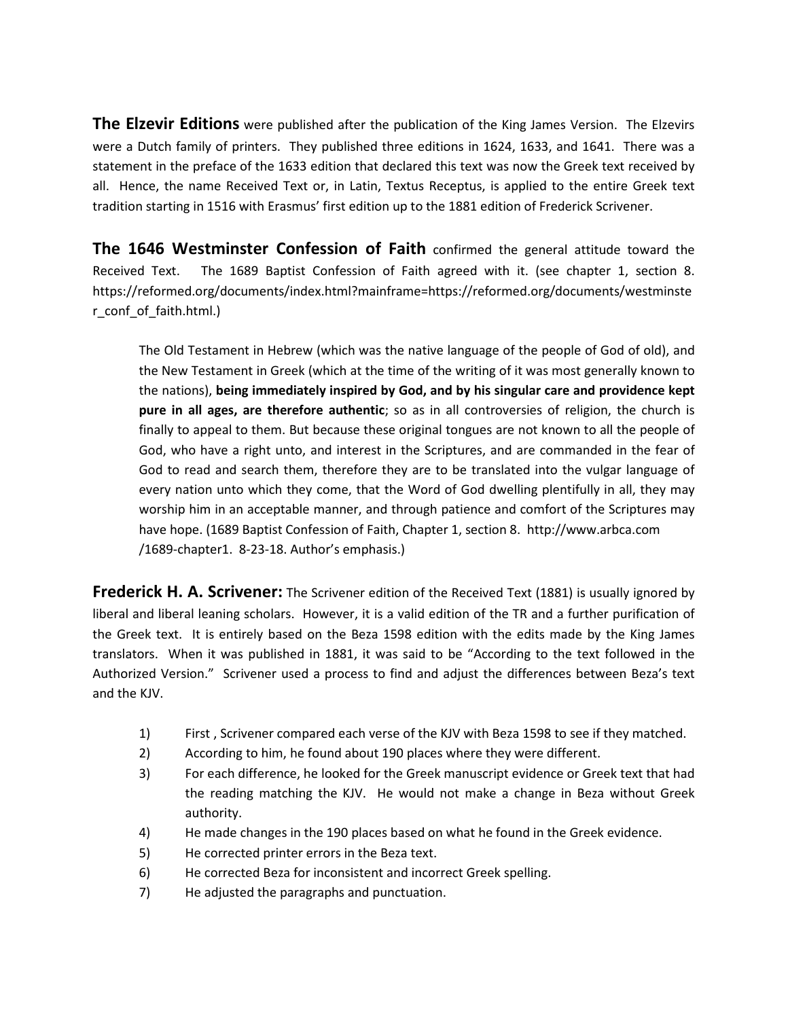**The Elzevir Editions** were published after the publication of the King James Version. The Elzevirs were a Dutch family of printers. They published three editions in 1624, 1633, and 1641. There was a statement in the preface of the 1633 edition that declared this text was now the Greek text received by all. Hence, the name Received Text or, in Latin, Textus Receptus, is applied to the entire Greek text tradition starting in 1516 with Erasmus' first edition up to the 1881 edition of Frederick Scrivener.

**The 1646 Westminster Confession of Faith** confirmed the general attitude toward the Received Text. The 1689 Baptist Confession of Faith agreed with it. (see chapter 1, section 8. https://reformed.org/documents/index.html?mainframe=https://reformed.org/documents/westminste r\_conf\_of\_faith.html.)

The Old Testament in Hebrew (which was the native language of the people of God of old), and the New Testament in Greek (which at the time of the writing of it was most generally known to the nations), **being immediately inspired by God, and by his singular care and providence kept pure in all ages, are therefore authentic**; so as in all controversies of religion, the church is finally to appeal to them. But because these original tongues are not known to all the people of God, who have a right unto, and interest in the Scriptures, and are commanded in the fear of God to read and search them, therefore they are to be translated into the vulgar language of every nation unto which they come, that the Word of God dwelling plentifully in all, they may worship him in an acceptable manner, and through patience and comfort of the Scriptures may have hope. (1689 Baptist Confession of Faith, Chapter 1, section 8. http://www.arbca.com /1689-chapter1. 8-23-18. Author's emphasis.)

**Frederick H. A. Scrivener:** The Scrivener edition of the Received Text (1881) is usually ignored by liberal and liberal leaning scholars. However, it is a valid edition of the TR and a further purification of the Greek text. It is entirely based on the Beza 1598 edition with the edits made by the King James translators. When it was published in 1881, it was said to be "According to the text followed in the Authorized Version." Scrivener used a process to find and adjust the differences between Beza's text and the KJV.

- 1) First , Scrivener compared each verse of the KJV with Beza 1598 to see if they matched.
- 2) According to him, he found about 190 places where they were different.
- 3) For each difference, he looked for the Greek manuscript evidence or Greek text that had the reading matching the KJV. He would not make a change in Beza without Greek authority.
- 4) He made changes in the 190 places based on what he found in the Greek evidence.
- 5) He corrected printer errors in the Beza text.
- 6) He corrected Beza for inconsistent and incorrect Greek spelling.
- 7) He adjusted the paragraphs and punctuation.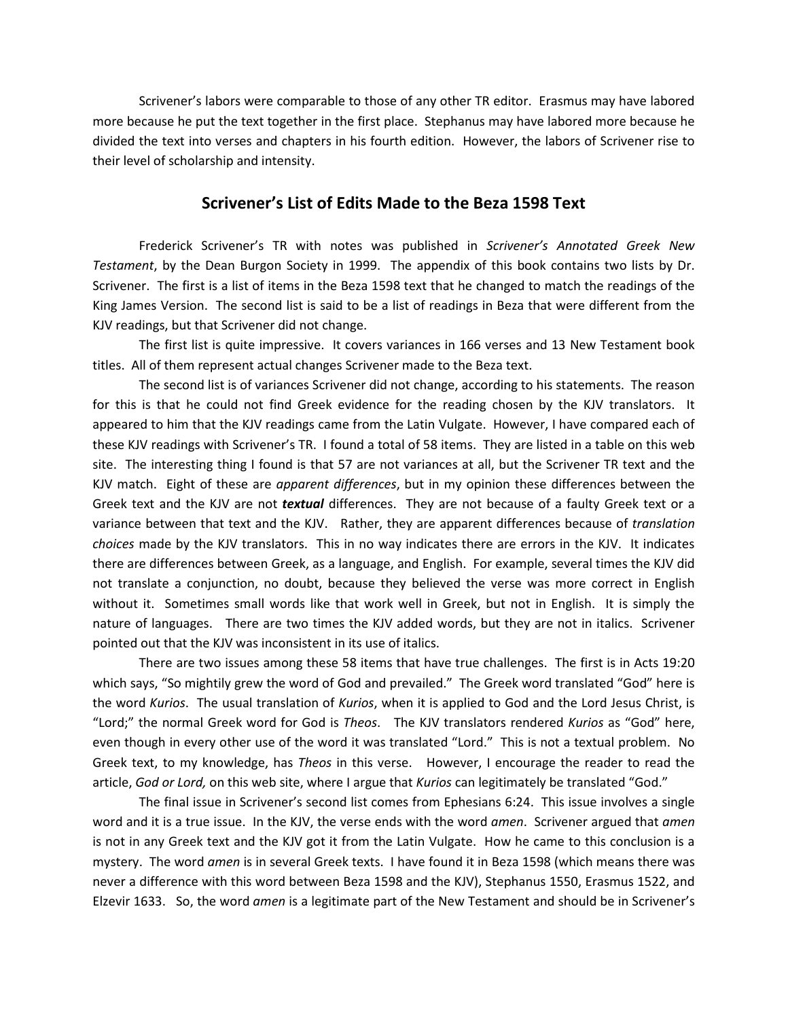Scrivener's labors were comparable to those of any other TR editor. Erasmus may have labored more because he put the text together in the first place. Stephanus may have labored more because he divided the text into verses and chapters in his fourth edition. However, the labors of Scrivener rise to their level of scholarship and intensity.

#### **Scrivener's List of Edits Made to the Beza 1598 Text**

Frederick Scrivener's TR with notes was published in *Scrivener's Annotated Greek New Testament*, by the Dean Burgon Society in 1999. The appendix of this book contains two lists by Dr. Scrivener. The first is a list of items in the Beza 1598 text that he changed to match the readings of the King James Version. The second list is said to be a list of readings in Beza that were different from the KJV readings, but that Scrivener did not change.

The first list is quite impressive. It covers variances in 166 verses and 13 New Testament book titles. All of them represent actual changes Scrivener made to the Beza text.

The second list is of variances Scrivener did not change, according to his statements. The reason for this is that he could not find Greek evidence for the reading chosen by the KJV translators. It appeared to him that the KJV readings came from the Latin Vulgate. However, I have compared each of these KJV readings with Scrivener's TR. I found a total of 58 items. They are listed in a table on this web site. The interesting thing I found is that 57 are not variances at all, but the Scrivener TR text and the KJV match. Eight of these are *apparent differences*, but in my opinion these differences between the Greek text and the KJV are not *textual* differences. They are not because of a faulty Greek text or a variance between that text and the KJV. Rather, they are apparent differences because of *translation choices* made by the KJV translators. This in no way indicates there are errors in the KJV. It indicates there are differences between Greek, as a language, and English. For example, several times the KJV did not translate a conjunction, no doubt, because they believed the verse was more correct in English without it. Sometimes small words like that work well in Greek, but not in English. It is simply the nature of languages. There are two times the KJV added words, but they are not in italics. Scrivener pointed out that the KJV was inconsistent in its use of italics.

There are two issues among these 58 items that have true challenges. The first is in Acts 19:20 which says, "So mightily grew the word of God and prevailed." The Greek word translated "God" here is the word *Kurios*. The usual translation of *Kurios*, when it is applied to God and the Lord Jesus Christ, is "Lord;" the normal Greek word for God is *Theos*. The KJV translators rendered *Kurios* as "God" here, even though in every other use of the word it was translated "Lord." This is not a textual problem. No Greek text, to my knowledge, has *Theos* in this verse. However, I encourage the reader to read the article, *God or Lord,* on this web site, where I argue that *Kurios* can legitimately be translated "God."

The final issue in Scrivener's second list comes from Ephesians 6:24. This issue involves a single word and it is a true issue. In the KJV, the verse ends with the word *amen*. Scrivener argued that *amen* is not in any Greek text and the KJV got it from the Latin Vulgate. How he came to this conclusion is a mystery. The word *amen* is in several Greek texts. I have found it in Beza 1598 (which means there was never a difference with this word between Beza 1598 and the KJV), Stephanus 1550, Erasmus 1522, and Elzevir 1633. So, the word *amen* is a legitimate part of the New Testament and should be in Scrivener's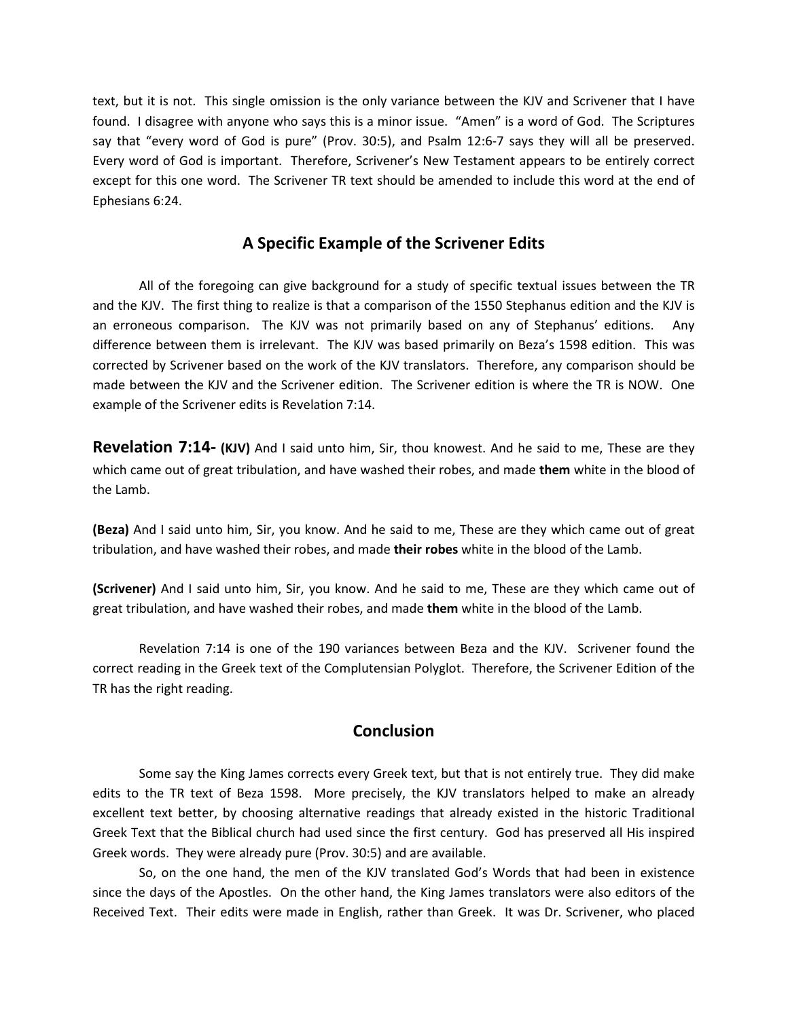text, but it is not. This single omission is the only variance between the KJV and Scrivener that I have found. I disagree with anyone who says this is a minor issue. "Amen" is a word of God. The Scriptures say that "every word of God is pure" (Prov. 30:5), and Psalm 12:6-7 says they will all be preserved. Every word of God is important. Therefore, Scrivener's New Testament appears to be entirely correct except for this one word. The Scrivener TR text should be amended to include this word at the end of Ephesians 6:24.

### **A Specific Example of the Scrivener Edits**

All of the foregoing can give background for a study of specific textual issues between the TR and the KJV. The first thing to realize is that a comparison of the 1550 Stephanus edition and the KJV is an erroneous comparison. The KJV was not primarily based on any of Stephanus' editions. Any difference between them is irrelevant. The KJV was based primarily on Beza's 1598 edition. This was corrected by Scrivener based on the work of the KJV translators. Therefore, any comparison should be made between the KJV and the Scrivener edition. The Scrivener edition is where the TR is NOW. One example of the Scrivener edits is Revelation 7:14.

**Revelation 7:14- (KJV)** And I said unto him, Sir, thou knowest. And he said to me, These are they which came out of great tribulation, and have washed their robes, and made **them** white in the blood of the Lamb.

**(Beza)** And I said unto him, Sir, you know. And he said to me, These are they which came out of great tribulation, and have washed their robes, and made **their robes** white in the blood of the Lamb.

**(Scrivener)** And I said unto him, Sir, you know. And he said to me, These are they which came out of great tribulation, and have washed their robes, and made **them** white in the blood of the Lamb.

Revelation 7:14 is one of the 190 variances between Beza and the KJV. Scrivener found the correct reading in the Greek text of the Complutensian Polyglot. Therefore, the Scrivener Edition of the TR has the right reading.

### **Conclusion**

Some say the King James corrects every Greek text, but that is not entirely true. They did make edits to the TR text of Beza 1598. More precisely, the KJV translators helped to make an already excellent text better, by choosing alternative readings that already existed in the historic Traditional Greek Text that the Biblical church had used since the first century. God has preserved all His inspired Greek words. They were already pure (Prov. 30:5) and are available.

So, on the one hand, the men of the KJV translated God's Words that had been in existence since the days of the Apostles. On the other hand, the King James translators were also editors of the Received Text. Their edits were made in English, rather than Greek. It was Dr. Scrivener, who placed